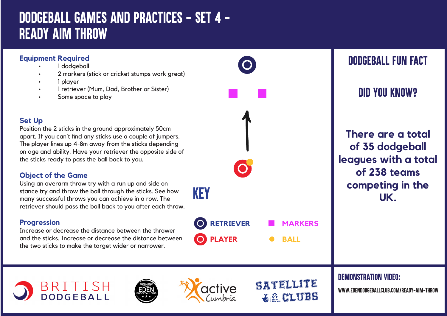# *DODGEBALL GAMES AND PRACTICES - SET 4 - READY AIM THROW*

### **Equipment Required**

- 1 dodgeball
- 2 markers (stick or cricket stumps work great)
- 1 player
- 1 retriever (Mum, Dad, Brother or Sister)
- Some space to play

### **Set Up**

Position the 2 sticks in the ground approximately 50cm apart. If you can't find any sticks use a couple of jumpers. The player lines up 4-8m away from the sticks depending on age and ability. Have your retriever the opposite side of the sticks ready to pass the ball back to you.

### **Object of the Game**

Using an overarm throw try with a run up and side on stance try and throw the ball through the sticks. See how many successful throws you can achieve in a row. The retriever should pass the ball back to you after each throw.

### **Progression**

Increase or decrease the distance between the thrower and the sticks. Increase or decrease the distance between the two sticks to make the target wider or narrower.

BRITISH<br>DODGEBALL



**BALL**

SATELLITE

**WE CLUBS** 

## *DODGEBALL FUN FACT*

*DID YOU KNOW?*

**There are a total of 35 dodgeball leagues with a total of 238 teams competing in the UK.**

*DEMONSTRATION VIDEO:*

*www.edendodgeballclub.com/ready-aim-throw*





**PLAYER**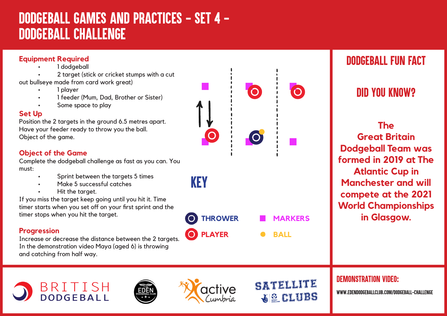# *DODGEBALL GAMES AND PRACTICES - SET 4 - Dodgeball Challenge*



### *DODGEBALL FUN FACT*

## *DID YOU KNOW?*

**The Great Britain Dodgeball Team was formed in 2019 at The Atlantic Cup in Manchester and will compete at the 2021 World Championships in Glasgow.**

### *DEMONSTRATION VIDEO:*

*www.edendodgeballclub.com/dodgeball-challenge*